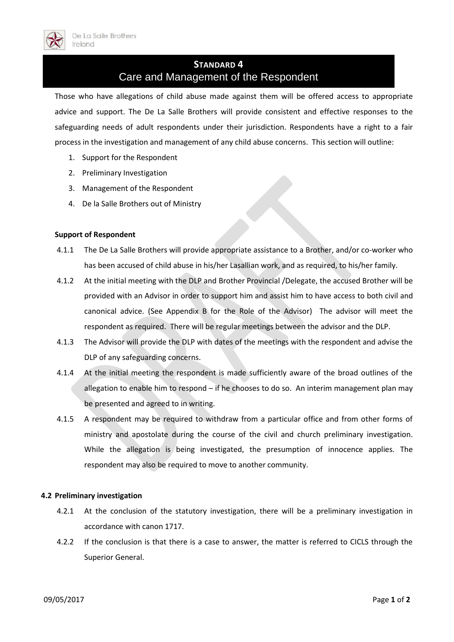# **STANDARD 4** Care and Management of the Respondent

Those who have allegations of child abuse made against them will be offered access to appropriate advice and support. The De La Salle Brothers will provide consistent and effective responses to the safeguarding needs of adult respondents under their jurisdiction. Respondents have a right to a fair process in the investigation and management of any child abuse concerns. This section will outline:

- 1. Support for the Respondent
- 2. Preliminary Investigation
- 3. Management of the Respondent
- 4. De la Salle Brothers out of Ministry

## **Support of Respondent**

- 4.1.1 The De La Salle Brothers will provide appropriate assistance to a Brother, and/or co-worker who has been accused of child abuse in his/her Lasallian work, and as required, to his/her family.
- 4.1.2 At the initial meeting with the DLP and Brother Provincial /Delegate, the accused Brother will be provided with an Advisor in order to support him and assist him to have access to both civil and canonical advice. (See Appendix B for the Role of the Advisor) The advisor will meet the respondent as required. There will be regular meetings between the advisor and the DLP.
- 4.1.3 The Advisor will provide the DLP with dates of the meetings with the respondent and advise the DLP of any safeguarding concerns.
- 4.1.4 At the initial meeting the respondent is made sufficiently aware of the broad outlines of the allegation to enable him to respond – if he chooses to do so. An interim management plan may be presented and agreed to in writing.
- 4.1.5 A respondent may be required to withdraw from a particular office and from other forms of ministry and apostolate during the course of the civil and church preliminary investigation. While the allegation is being investigated, the presumption of innocence applies. The respondent may also be required to move to another community.

## **4.2 Preliminary investigation**

- 4.2.1 At the conclusion of the statutory investigation, there will be a preliminary investigation in accordance with canon 1717.
- 4.2.2 If the conclusion is that there is a case to answer, the matter is referred to CICLS through the Superior General.